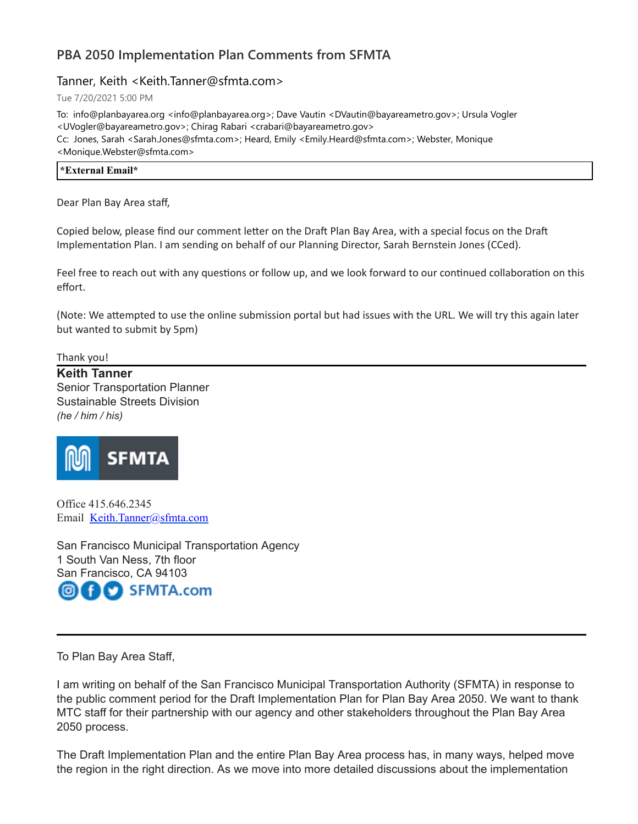# **PBA 2050 Implementation Plan Comments from SFMTA**

# Tanner, Keith <Keith.Tanner@sfmta.com>

Tue 7/20/2021 5:00 PM

To: info@planbayarea.org <info@planbayarea.org>; Dave Vautin <DVautin@bayareametro.gov>; Ursula Vogler <UVogler@bayareametro.gov>; Chirag Rabari <crabari@bayareametro.gov> Cc: Jones, Sarah <Sarah.Jones@sfmta.com>; Heard, Emily <Emily.Heard@sfmta.com>; Webster, Monique <Monique.Webster@sfmta.com>

| $-4.17$ |  |  |
|---------|--|--|
| .nail*  |  |  |
|         |  |  |
|         |  |  |
|         |  |  |
|         |  |  |

Dear Plan Bay Area staff,

Copied below, please find our comment letter on the Draft Plan Bay Area, with a special focus on the Draft Implementation Plan. I am sending on behalf of our Planning Director, Sarah Bernstein Jones (CCed).

Feel free to reach out with any questions or follow up, and we look forward to our continued collaboration on this effort.

(Note: We attempted to use the online submission portal but had issues with the URL. We will try this again later but wanted to submit by 5pm)

Thank you!

**Keith Tanner** Senior Transportation Planner Sustainable Streets Division *(he / him / his)*



Office 415.646.2345 Email [Keith.Tanner@sfmta.com](mailto:Keith.Tanner@sfmta.com)

San Francisco Municipal Transportation Agency 1 South Van Ness, 7th floor San Francisco, CA 94103 SFMTA.com ÷

To Plan Bay Area Staff,

I am writing on behalf of the San Francisco Municipal Transportation Authority (SFMTA) in response to the public comment period for the Draft Implementation Plan for Plan Bay Area 2050. We want to thank MTC staff for their partnership with our agency and other stakeholders throughout the Plan Bay Area 2050 process.

The Draft Implementation Plan and the entire Plan Bay Area process has, in many ways, helped move the region in the right direction. As we move into more detailed discussions about the implementation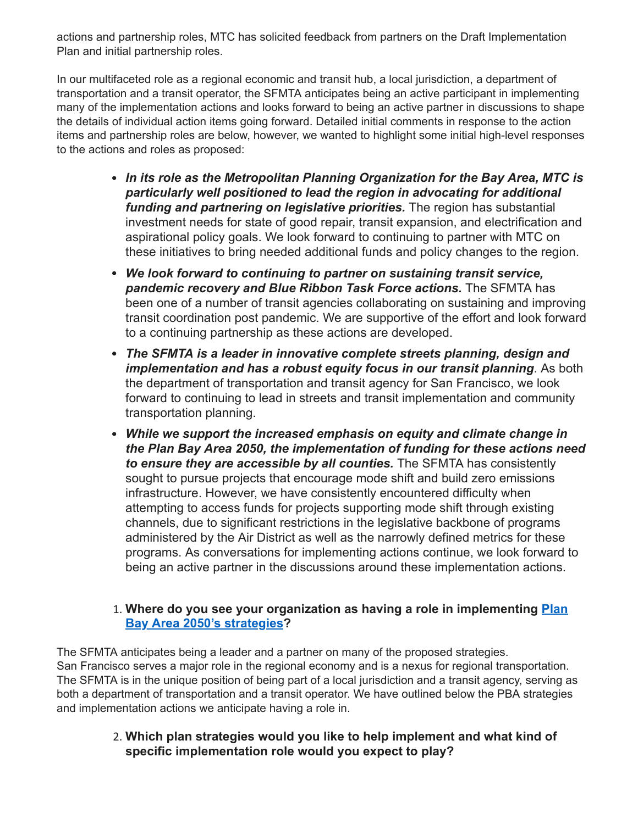actions and partnership roles, MTC has solicited feedback from partners on the Draft Implementation Plan and initial partnership roles.

In our multifaceted role as a regional economic and transit hub, a local jurisdiction, a department of transportation and a transit operator, the SFMTA anticipates being an active participant in implementing many of the implementation actions and looks forward to being an active partner in discussions to shape the details of individual action items going forward. Detailed initial comments in response to the action items and partnership roles are below, however, we wanted to highlight some initial high-level responses to the actions and roles as proposed:

- *In its role as the Metropolitan Planning Organization for the Bay Area, MTC is particularly well positioned to lead the region in advocating for additional funding and partnering on legislative priorities.* The region has substantial investment needs for state of good repair, transit expansion, and electrification and aspirational policy goals. We look forward to continuing to partner with MTC on these initiatives to bring needed additional funds and policy changes to the region.
- *We look forward to continuing to partner on sustaining transit service, pandemic recovery and Blue Ribbon Task Force actions.* The SFMTA has been one of a number of transit agencies collaborating on sustaining and improving transit coordination post pandemic. We are supportive of the effort and look forward to a continuing partnership as these actions are developed.
- *The SFMTA is a leader in innovative complete streets planning, design and implementation and has a robust equity focus in our transit planning*. As both the department of transportation and transit agency for San Francisco, we look forward to continuing to lead in streets and transit implementation and community transportation planning.
- *While we support the increased emphasis on equity and climate change in the Plan Bay Area 2050, the implementation of funding for these actions need to ensure they are accessible by all counties.* The SFMTA has consistently sought to pursue projects that encourage mode shift and build zero emissions infrastructure. However, we have consistently encountered difficulty when attempting to access funds for projects supporting mode shift through existing channels, due to significant restrictions in the legislative backbone of programs administered by the Air District as well as the narrowly defined metrics for these programs. As conversations for implementing actions continue, we look forward to being an active partner in the discussions around these implementation actions.

#### 1. **[Where do you see your organization as having a role in implementing Plan](https://nam10.safelinks.protection.outlook.com/?url=https%3A%2F%2Fwww.planbayarea.org%2Fsites%2Fdefault%2Ffiles%2Fdocuments%2F2021-05%2FDraft_PBA2050_Executive_Summary_May2021.pdf%23page%3D4&data=04%7C01%7Cplanbayareainfo%40bayareametro.gov%7C4fac3837035b47b07ab708d94bda8a95%7Cb084c4a0bb194142b70382ea65a5eeb2%7C0%7C1%7C637624224288146055%7CUnknown%7CTWFpbGZsb3d8eyJWIjoiMC4wLjAwMDAiLCJQIjoiV2luMzIiLCJBTiI6Ik1haWwiLCJXVCI6Mn0%3D%7C2000&sdata=F4uRYWX2ZD1CVEwprbzkX0bYOJ0j%2FMXnrtc9Xyn%2FUfU%3D&reserved=0) Bay Area 2050's strategies?**

The SFMTA anticipates being a leader and a partner on many of the proposed strategies. San Francisco serves a major role in the regional economy and is a nexus for regional transportation. The SFMTA is in the unique position of being part of a local jurisdiction and a transit agency, serving as both a department of transportation and a transit operator. We have outlined below the PBA strategies and implementation actions we anticipate having a role in.

> 2. **Which plan strategies would you like to help implement and what kind of specific implementation role would you expect to play?**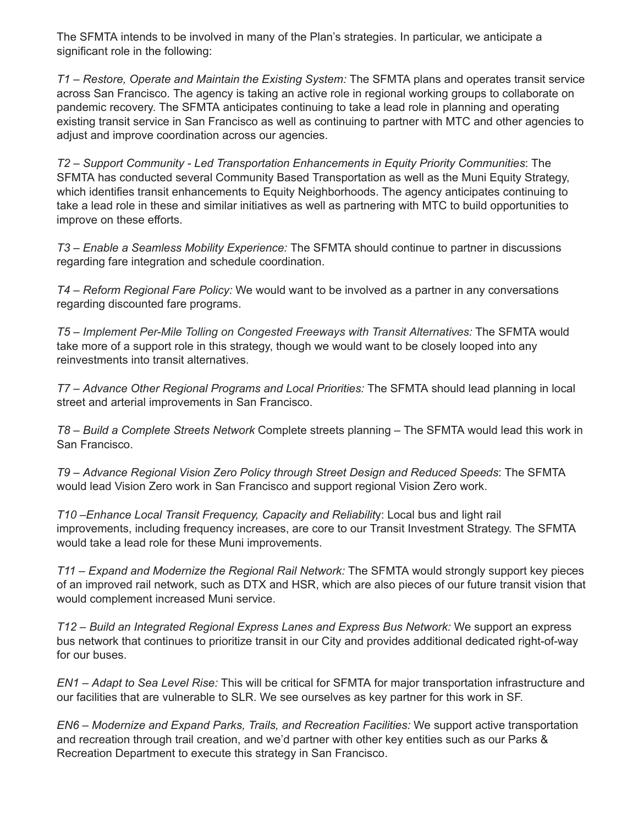The SFMTA intends to be involved in many of the Plan's strategies. In particular, we anticipate a significant role in the following:

*T1 – Restore, Operate and Maintain the Existing System:* The SFMTA plans and operates transit service across San Francisco. The agency is taking an active role in regional working groups to collaborate on pandemic recovery. The SFMTA anticipates continuing to take a lead role in planning and operating existing transit service in San Francisco as well as continuing to partner with MTC and other agencies to adjust and improve coordination across our agencies.

*T2 – Support Community - Led Transportation Enhancements in Equity Priority Communities*: The SFMTA has conducted several Community Based Transportation as well as the Muni Equity Strategy, which identifies transit enhancements to Equity Neighborhoods. The agency anticipates continuing to take a lead role in these and similar initiatives as well as partnering with MTC to build opportunities to improve on these efforts.

*T3 – Enable a Seamless Mobility Experience:* The SFMTA should continue to partner in discussions regarding fare integration and schedule coordination.

*T4 – Reform Regional Fare Policy:* We would want to be involved as a partner in any conversations regarding discounted fare programs.

*T5 – Implement Per-Mile Tolling on Congested Freeways with Transit Alternatives:* The SFMTA would take more of a support role in this strategy, though we would want to be closely looped into any reinvestments into transit alternatives.

*T7 – Advance Other Regional Programs and Local Priorities:* The SFMTA should lead planning in local street and arterial improvements in San Francisco.

*T8 – Build a Complete Streets Network* Complete streets planning – The SFMTA would lead this work in San Francisco.

*T9 – Advance Regional Vision Zero Policy through Street Design and Reduced Speeds*: The SFMTA would lead Vision Zero work in San Francisco and support regional Vision Zero work.

*T10 –Enhance Local Transit Frequency, Capacity and Reliabilit*y: Local bus and light rail improvements, including frequency increases, are core to our Transit Investment Strategy. The SFMTA would take a lead role for these Muni improvements.

*T11 – Expand and Modernize the Regional Rail Network:* The SFMTA would strongly support key pieces of an improved rail network, such as DTX and HSR, which are also pieces of our future transit vision that would complement increased Muni service.

*T12 – Build an Integrated Regional Express Lanes and Express Bus Network:* We support an express bus network that continues to prioritize transit in our City and provides additional dedicated right-of-way for our buses.

*EN1 – Adapt to Sea Level Rise:* This will be critical for SFMTA for major transportation infrastructure and our facilities that are vulnerable to SLR. We see ourselves as key partner for this work in SF.

*EN6 – Modernize and Expand Parks, Trails, and Recreation Facilities:* We support active transportation and recreation through trail creation, and we'd partner with other key entities such as our Parks & Recreation Department to execute this strategy in San Francisco.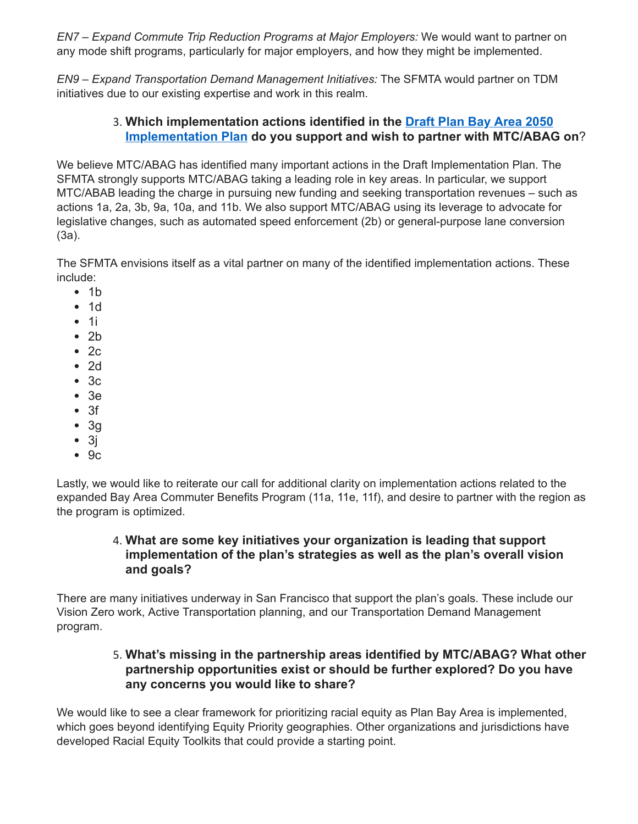*EN7 – Expand Commute Trip Reduction Programs at Major Employers:* We would want to partner on any mode shift programs, particularly for major employers, and how they might be implemented.

*EN9 – Expand Transportation Demand Management Initiatives:* The SFMTA would partner on TDM initiatives due to our existing expertise and work in this realm.

# 3. **Which implementation actions identified in the Draft Plan Bay Area 2050 [Implementation Plan do you support and wish to partner with MTC/ABAG](https://nam10.safelinks.protection.outlook.com/?url=https%3A%2F%2Fwww.planbayarea.org%2Fsites%2Fdefault%2Ffiles%2Fdocuments%2F2021-05%2FDraft_PBA2050_ImplementationPlan_May2021.pdf&data=04%7C01%7Cplanbayareainfo%40bayareametro.gov%7C4fac3837035b47b07ab708d94bda8a95%7Cb084c4a0bb194142b70382ea65a5eeb2%7C0%7C1%7C637624224288146055%7CUnknown%7CTWFpbGZsb3d8eyJWIjoiMC4wLjAwMDAiLCJQIjoiV2luMzIiLCJBTiI6Ik1haWwiLCJXVCI6Mn0%3D%7C2000&sdata=m6Qjfu5qQcFkCdmfv54CvkTUQBVkkumfw8UySdbTTug%3D&reserved=0) on**?

We believe MTC/ABAG has identified many important actions in the Draft Implementation Plan. The SFMTA strongly supports MTC/ABAG taking a leading role in key areas. In particular, we support MTC/ABAB leading the charge in pursuing new funding and seeking transportation revenues – such as actions 1a, 2a, 3b, 9a, 10a, and 11b. We also support MTC/ABAG using its leverage to advocate for legislative changes, such as automated speed enforcement (2b) or general-purpose lane conversion (3a).

The SFMTA envisions itself as a vital partner on many of the identified implementation actions. These include:

- $-1<sub>b</sub>$
- $1d$
- $\bullet$  1i
- $\cdot$  2b
- $\bullet$  2c
- $\bullet$  2d
- $-3c$
- 3e
- $3f$
- $\bullet$  3g
- $\bullet$  3j
- $-9c$

Lastly, we would like to reiterate our call for additional clarity on implementation actions related to the expanded Bay Area Commuter Benefits Program (11a, 11e, 11f), and desire to partner with the region as the program is optimized.

# 4. **What are some key initiatives your organization is leading that support implementation of the plan's strategies as well as the plan's overall vision and goals?**

There are many initiatives underway in San Francisco that support the plan's goals. These include our Vision Zero work, Active Transportation planning, and our Transportation Demand Management program.

# 5. **What's missing in the partnership areas identified by MTC/ABAG? What other partnership opportunities exist or should be further explored? Do you have any concerns you would like to share?**

We would like to see a clear framework for prioritizing racial equity as Plan Bay Area is implemented, which goes beyond identifying Equity Priority geographies. Other organizations and jurisdictions have developed Racial Equity Toolkits that could provide a starting point.